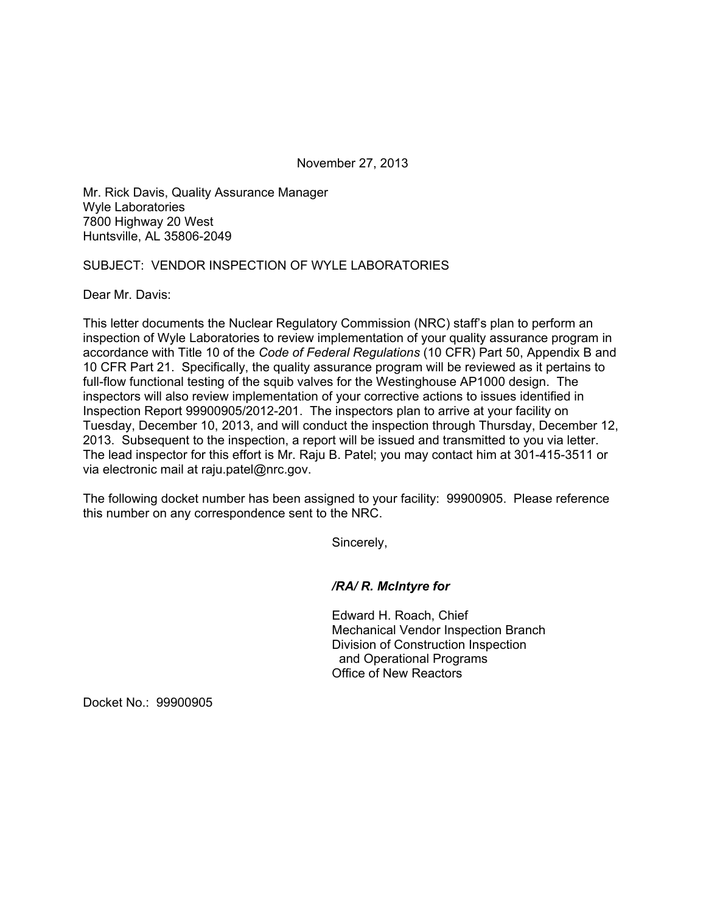November 27, 2013

Mr. Rick Davis, Quality Assurance Manager Wyle Laboratories 7800 Highway 20 West Huntsville, AL 35806-2049

## SUBJECT: VENDOR INSPECTION OF WYLE LABORATORIES

Dear Mr. Davis:

This letter documents the Nuclear Regulatory Commission (NRC) staff's plan to perform an inspection of Wyle Laboratories to review implementation of your quality assurance program in accordance with Title 10 of the *Code of Federal Regulations* (10 CFR) Part 50, Appendix B and 10 CFR Part 21. Specifically, the quality assurance program will be reviewed as it pertains to full-flow functional testing of the squib valves for the Westinghouse AP1000 design. The inspectors will also review implementation of your corrective actions to issues identified in Inspection Report 99900905/2012-201. The inspectors plan to arrive at your facility on Tuesday, December 10, 2013, and will conduct the inspection through Thursday, December 12, 2013. Subsequent to the inspection, a report will be issued and transmitted to you via letter. The lead inspector for this effort is Mr. Raju B. Patel; you may contact him at 301-415-3511 or via electronic mail at raju.patel@nrc.gov.

The following docket number has been assigned to your facility: 99900905. Please reference this number on any correspondence sent to the NRC.

Sincerely,

*/RA/ R. McIntyre for* 

Edward H. Roach, Chief Mechanical Vendor Inspection Branch Division of Construction Inspection and Operational Programs Office of New Reactors

Docket No.: 99900905